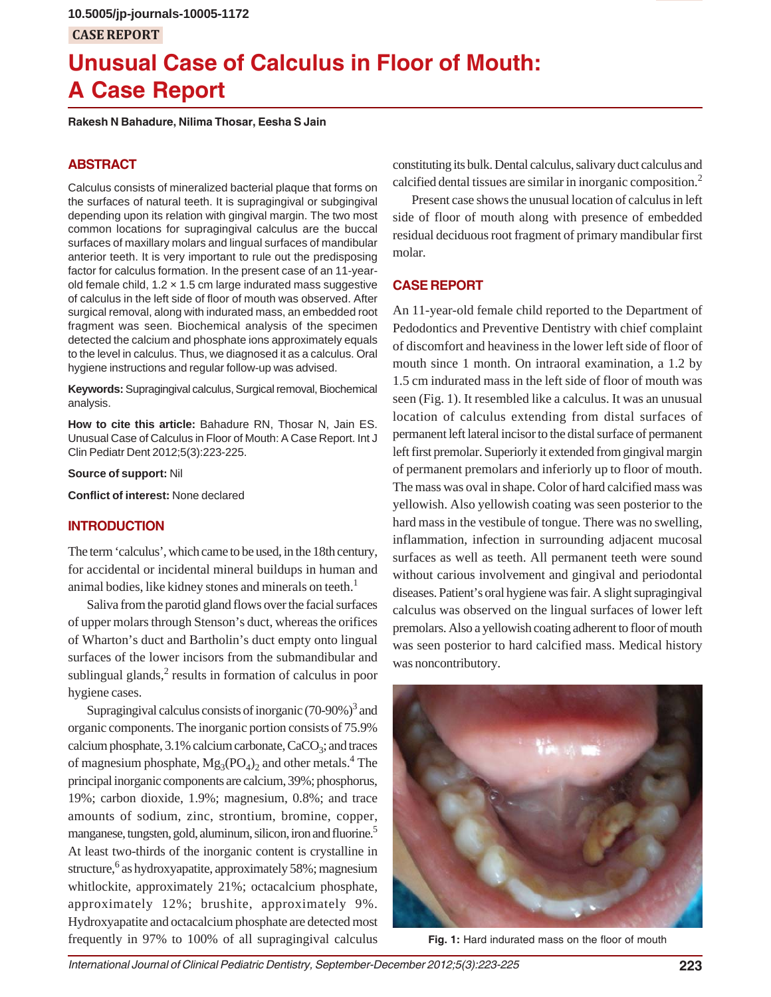## **CASE REPORT**

# **Unusual Case of Calculus in Floor of Mouth: A Case Report**

**Rakesh N Bahadure, Nilima Thosar, Eesha S Jain**

## **ABSTRACT**

Calculus consists of mineralized bacterial plaque that forms on the surfaces of natural teeth. It is supragingival or subgingival depending upon its relation with gingival margin. The two most common locations for supragingival calculus are the buccal surfaces of maxillary molars and lingual surfaces of mandibular anterior teeth. It is very important to rule out the predisposing factor for calculus formation. In the present case of an 11-yearold female child,  $1.2 \times 1.5$  cm large indurated mass suggestive of calculus in the left side of floor of mouth was observed. After surgical removal, along with indurated mass, an embedded root fragment was seen. Biochemical analysis of the specimen detected the calcium and phosphate ions approximately equals to the level in calculus. Thus, we diagnosed it as a calculus. Oral hygiene instructions and regular follow-up was advised.

**Keywords:** Supragingival calculus, Surgical removal, Biochemical analysis.

**How to cite this article:** Bahadure RN, Thosar N, Jain ES. Unusual Case of Calculus in Floor of Mouth: A Case Report. Int J Clin Pediatr Dent 2012;5(3):223-225.

**Source of support:** Nil

**Conflict of interest:** None declared

### **INTRODUCTION**

The term 'calculus', which came to be used, in the 18th century, for accidental or incidental mineral buildups in human and animal bodies, like kidney stones and minerals on teeth.<sup>1</sup>

Saliva from the parotid gland flows over the facial surfaces of upper molars through Stenson's duct, whereas the orifices of Wharton's duct and Bartholin's duct empty onto lingual surfaces of the lower incisors from the submandibular and sublingual glands, $2$  results in formation of calculus in poor hygiene cases.

Supragingival calculus consists of inorganic  $(70-90%)^3$  and organic components. The inorganic portion consists of 75.9% calcium phosphate,  $3.1\%$  calcium carbonate,  $CaCO<sub>3</sub>$ ; and traces of magnesium phosphate,  $Mg_3(PO_4)_2$  and other metals.<sup>4</sup> The principal inorganic components are calcium, 39%; phosphorus, 19%; carbon dioxide, 1.9%; magnesium, 0.8%; and trace amounts of sodium, zinc, strontium, bromine, copper, manganese, tungsten, gold, aluminum, silicon, iron and fluorine.<sup>5</sup> At least two-thirds of the inorganic content is crystalline in structure, <sup>6</sup> as hydroxyapatite, approximately 58%; magnesium whitlockite, approximately 21%; octacalcium phosphate, approximately 12%; brushite, approximately 9%. Hydroxyapatite and octacalcium phosphate are detected most frequently in 97% to 100% of all supragingival calculus

constituting its bulk. Dental calculus, salivary duct calculus and calcified dental tissues are similar in inorganic composition.<sup>2</sup>

Present case shows the unusual location of calculus in left side of floor of mouth along with presence of embedded residual deciduous root fragment of primary mandibular first molar.

#### **CASE REPORT**

An 11-year-old female child reported to the Department of Pedodontics and Preventive Dentistry with chief complaint of discomfort and heaviness in the lower left side of floor of mouth since 1 month. On intraoral examination, a 1.2 by 1.5 cm indurated mass in the left side of floor of mouth was seen (Fig. 1). It resembled like a calculus. It was an unusual location of calculus extending from distal surfaces of permanent left lateral incisor to the distal surface of permanent left first premolar. Superiorly it extended from gingival margin of permanent premolars and inferiorly up to floor of mouth. The mass was oval in shape. Color of hard calcified mass was yellowish. Also yellowish coating was seen posterior to the hard mass in the vestibule of tongue. There was no swelling, inflammation, infection in surrounding adjacent mucosal surfaces as well as teeth. All permanent teeth were sound without carious involvement and gingival and periodontal diseases. Patient's oral hygiene was fair. A slight supragingival calculus was observed on the lingual surfaces of lower left premolars. Also a yellowish coating adherent to floor of mouth was seen posterior to hard calcified mass. Medical history was noncontributory.



**Fig. 1:** Hard indurated mass on the floor of mouth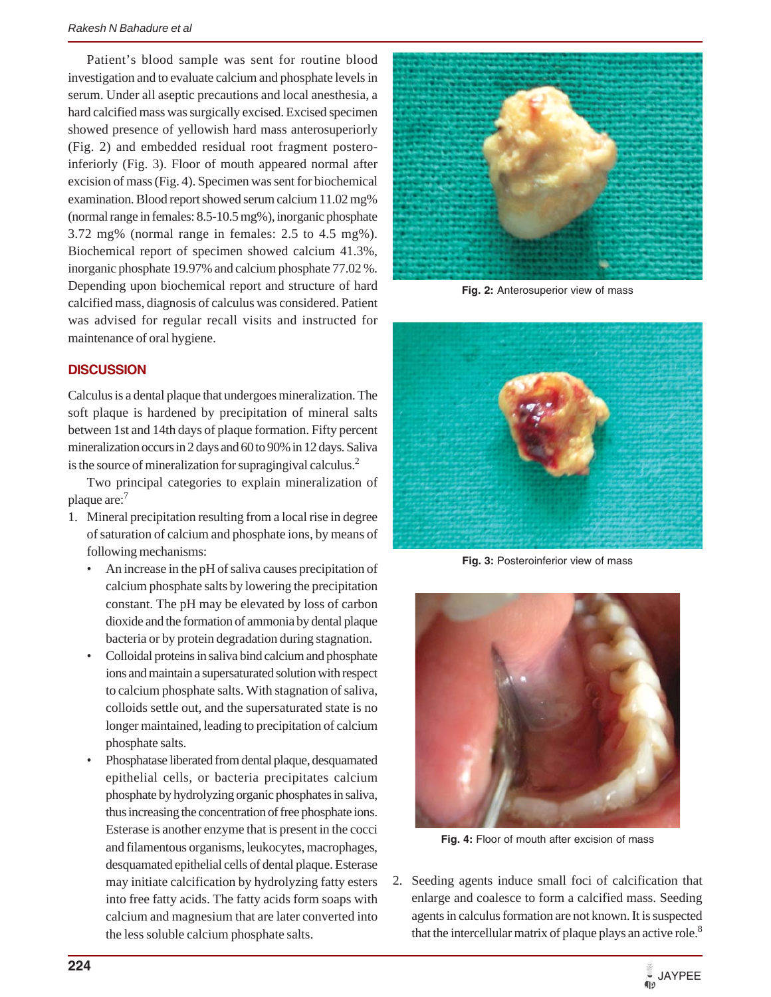Patient's blood sample was sent for routine blood investigation and to evaluate calcium and phosphate levels in serum. Under all aseptic precautions and local anesthesia, a hard calcified mass was surgically excised. Excised specimen showed presence of yellowish hard mass anterosuperiorly (Fig. 2) and embedded residual root fragment posteroinferiorly (Fig. 3). Floor of mouth appeared normal after excision of mass (Fig. 4). Specimen was sent for biochemical examination. Blood report showed serum calcium 11.02 mg% (normal range in females: 8.5-10.5 mg%), inorganic phosphate 3.72 mg% (normal range in females: 2.5 to 4.5 mg%). Biochemical report of specimen showed calcium 41.3%, inorganic phosphate 19.97% and calcium phosphate 77.02 %. Depending upon biochemical report and structure of hard calcified mass, diagnosis of calculus was considered. Patient was advised for regular recall visits and instructed for maintenance of oral hygiene.

#### **DISCUSSION**

Calculus is a dental plaque that undergoes mineralization. The soft plaque is hardened by precipitation of mineral salts between 1st and 14th days of plaque formation. Fifty percent mineralization occurs in 2 days and 60 to 90% in 12 days. Saliva is the source of mineralization for supragingival calculus.<sup>2</sup>

Two principal categories to explain mineralization of plaque are: $<sup>7</sup>$ </sup>

- 1. Mineral precipitation resulting from a local rise in degree of saturation of calcium and phosphate ions, by means of following mechanisms:
	- An increase in the pH of saliva causes precipitation of calcium phosphate salts by lowering the precipitation constant. The pH may be elevated by loss of carbon dioxide and the formation of ammonia by dental plaque bacteria or by protein degradation during stagnation.
	- Colloidal proteins in saliva bind calcium and phosphate ions and maintain a supersaturated solution with respect to calcium phosphate salts. With stagnation of saliva, colloids settle out, and the supersaturated state is no longer maintained, leading to precipitation of calcium phosphate salts.
	- Phosphatase liberated from dental plaque, desquamated epithelial cells, or bacteria precipitates calcium phosphate by hydrolyzing organic phosphates in saliva, thus increasing the concentration of free phosphate ions. Esterase is another enzyme that is present in the cocci and filamentous organisms, leukocytes, macrophages, desquamated epithelial cells of dental plaque. Esterase may initiate calcification by hydrolyzing fatty esters into free fatty acids. The fatty acids form soaps with calcium and magnesium that are later converted into the less soluble calcium phosphate salts.



**Fig. 2:** Anterosuperior view of mass



**Fig. 3:** Posteroinferior view of mass



**Fig. 4:** Floor of mouth after excision of mass

2. Seeding agents induce small foci of calcification that enlarge and coalesce to form a calcified mass. Seeding agents in calculus formation are not known. It is suspected that the intercellular matrix of plaque plays an active role.<sup>8</sup>